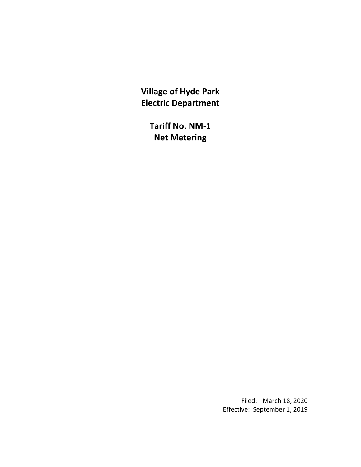**Village of Hyde Park Electric Department**

> **Tariff No. NM-1 Net Metering**

> > Filed: March 18, 2020 Effective: September 1, 2019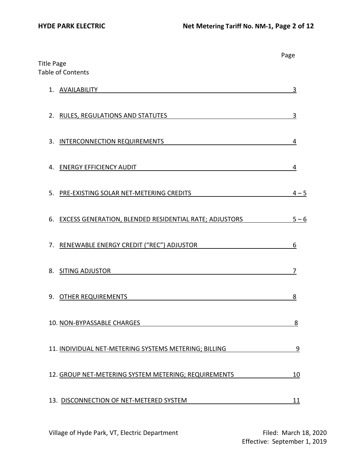| <b>Title Page</b>                                                   | Page    |
|---------------------------------------------------------------------|---------|
| <b>Table of Contents</b>                                            |         |
| <b>AVAILABILITY</b><br>1.                                           | 3       |
| 2. RULES, REGULATIONS AND STATUTES                                  | 3       |
| <b>INTERCONNECTION REQUIREMENTS</b><br>3.                           | 4       |
| <b>ENERGY EFFICIENCY AUDIT</b><br>4.                                | 4       |
| 5.<br>PRE-EXISTING SOLAR NET-METERING CREDITS                       | $4 - 5$ |
| <b>EXCESS GENERATION, BLENDED RESIDENTIAL RATE; ADJUSTORS</b><br>6. | $5 - 6$ |
| RENEWABLE ENERGY CREDIT ("REC") ADJUSTOR<br>7.                      | 6       |
| SITING ADJUSTOR<br>8.                                               | 7       |
| <b>OTHER REQUIREMENTS</b><br>9.                                     | 8       |
| 10. NON-BYPASSABLE CHARGES                                          | 8       |
| 11. INDIVIDUAL NET-METERING SYSTEMS METERING; BILLING               | 9       |
| 12. GROUP NET-METERING SYSTEM METERING; REQUIREMENTS                | 10      |
| 13. DISCONNECTION OF NET-METERED SYSTEM                             | 11      |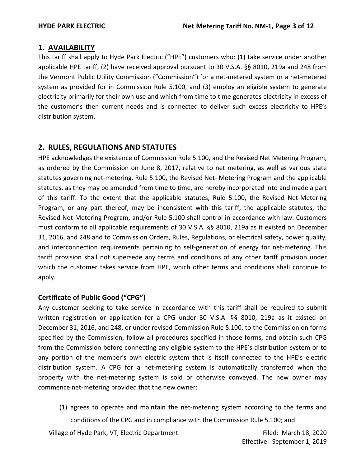# **1. AVAILABILITY**

This tariff shall apply to Hyde Park Electric ("HPE") customers who: (1) take service under another applicable HPE tariff, (2) have received approval pursuant to 30 V.S.A. §§ 8010, 219a and 248 from the Vermont Public Utility Commission ("Commission") for a net-metered system or a net-metered system as provided for in Commission Rule 5.100, and (3) employ an eligible system to generate electricity primarily for their own use and which from time to time generates electricity in excess of the customer's then current needs and is connected to deliver such excess electricity to HPE's distribution system.

# **2. RULES, REGULATIONS AND STATUTES**

HPE acknowledges the existence of Commission Rule 5.100, and the Revised Net Metering Program, as ordered by the Commission on June 8, 2017, relative to net metering, as well as various state statutes governing net-metering. Rule 5.100, the Revised Net- Metering Program and the applicable statutes, as they may be amended from time to time, are hereby incorporated into and made a part of this tariff. To the extent that the applicable statutes, Rule 5.100, the Revised Net-Metering Program, or any part thereof, may be inconsistent with this tariff, the applicable statutes, the Revised Net-Metering Program, and/or Rule 5.100 shall control in accordance with law. Customers must conform to all applicable requirements of 30 V.S.A. §§ 8010, 219a as it existed on December 31, 2016, and 248 and to Commission Orders, Rules, Regulations, or electrical safety, power quality, and interconnection requirements pertaining to self-generation of energy for net-metering. This tariff provision shall not supersede any terms and conditions of any other tariff provision under which the customer takes service from HPE, which other terms and conditions shall continue to apply.

# **Certificate of Public Good ("CPG")**

Any customer seeking to take service in accordance with this tariff shall be required to submit written registration or application for a CPG under 30 V.S.A. §§ 8010, 219a as it existed on December 31, 2016, and 248, or under revised Commission Rule 5.100, to the Commission on forms specified by the Commission, follow all procedures specified in those forms, and obtain such CPG from the Commission before connecting any eligible system to the HPE's distribution system or to any portion of the member's own electric system that is itself connected to the HPE's electric distribution system. A CPG for a net-metering system is automatically transferred when the property with the net-metering system is sold or otherwise conveyed. The new owner may commence net-metering provided that the new owner:

(1) agrees to operate and maintain the net-metering system according to the terms and conditions of the CPG and in compliance with the Commission Rule 5.100; and

Village of Hyde Park, VT, Electric Department Filed: March 18, 2020

Effective: September 1, 2019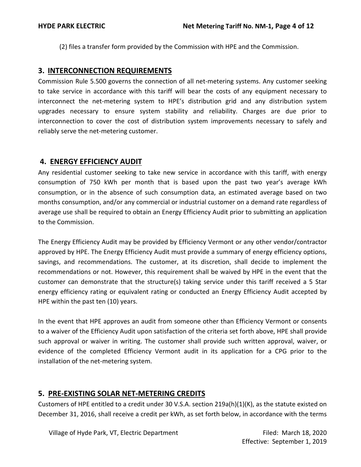(2) files a transfer form provided by the Commission with HPE and the Commission.

## **3. INTERCONNECTION REQUIREMENTS**

Commission Rule 5.500 governs the connection of all net-metering systems. Any customer seeking to take service in accordance with this tariff will bear the costs of any equipment necessary to interconnect the net-metering system to HPE's distribution grid and any distribution system upgrades necessary to ensure system stability and reliability. Charges are due prior to interconnection to cover the cost of distribution system improvements necessary to safely and reliably serve the net-metering customer.

# **4. ENERGY EFFICIENCY AUDIT**

Any residential customer seeking to take new service in accordance with this tariff, with energy consumption of 750 kWh per month that is based upon the past two year's average kWh consumption, or in the absence of such consumption data, an estimated average based on two months consumption, and/or any commercial or industrial customer on a demand rate regardless of average use shall be required to obtain an Energy Efficiency Audit prior to submitting an application to the Commission.

The Energy Efficiency Audit may be provided by Efficiency Vermont or any other vendor/contractor approved by HPE. The Energy Efficiency Audit must provide a summary of energy efficiency options, savings, and recommendations. The customer, at its discretion, shall decide to implement the recommendations or not. However, this requirement shall be waived by HPE in the event that the customer can demonstrate that the structure(s) taking service under this tariff received a 5 Star energy efficiency rating or equivalent rating or conducted an Energy Efficiency Audit accepted by HPE within the past ten (10) years.

In the event that HPE approves an audit from someone other than Efficiency Vermont or consents to a waiver of the Efficiency Audit upon satisfaction of the criteria set forth above, HPE shall provide such approval or waiver in writing. The customer shall provide such written approval, waiver, or evidence of the completed Efficiency Vermont audit in its application for a CPG prior to the installation of the net-metering system.

# **5. PRE-EXISTING SOLAR NET-METERING CREDITS**

Customers of HPE entitled to a credit under 30 V.S.A. section 219a(h)(1)(K), as the statute existed on December 31, 2016, shall receive a credit per kWh, as set forth below, in accordance with the terms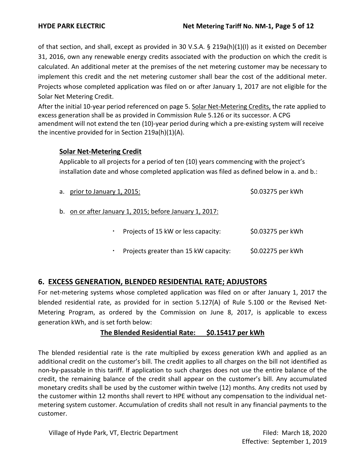of that section, and shall, except as provided in 30 V.S.A.  $\S$  219a(h)(1)(I) as it existed on December 31, 2016, own any renewable energy credits associated with the production on which the credit is calculated. An additional meter at the premises of the net metering customer may be necessary to implement this credit and the net metering customer shall bear the cost of the additional meter. Projects whose completed application was filed on or after January 1, 2017 are not eligible for the Solar Net Metering Credit.

After the initial 10-year period referenced on page 5. Solar Net-Metering Credits, the rate applied to excess generation shall be as provided in Commission Rule 5.126 or its successor. A CPG amendment will not extend the ten (10)-year period during which a pre-existing system will receive the incentive provided for in Section 219a(h)(1)(A).

#### **Solar Net-Metering Credit**

Applicable to all projects for a period of ten (10) years commencing with the project's installation date and whose completed application was filed as defined below in a. and b.:

| a. prior to January 1, 2015:                            | \$0.03275 per kWh |
|---------------------------------------------------------|-------------------|
| b. on or after January 1, 2015; before January 1, 2017: |                   |
| Projects of 15 kW or less capacity:<br>٠                | \$0.03275 per kWh |
| Projects greater than 15 kW capacity:<br>٠              | \$0.02275 per kWh |

# **6. EXCESS GENERATION, BLENDED RESIDENTIAL RATE; ADJUSTORS**

For net-metering systems whose completed application was filed on or after January 1, 2017 the blended residential rate, as provided for in section 5.127(A) of Rule 5.100 or the Revised Net-Metering Program, as ordered by the Commission on June 8, 2017, is applicable to excess generation kWh, and is set forth below:

### **The Blended Residential Rate: \$0.15417 per kWh**

The blended residential rate is the rate multiplied by excess generation kWh and applied as an additional credit on the customer's bill. The credit applies to all charges on the bill not identified as non-by-passable in this tariff. If application to such charges does not use the entire balance of the credit, the remaining balance of the credit shall appear on the customer's bill. Any accumulated monetary credits shall be used by the customer within twelve (12) months. Any credits not used by the customer within 12 months shall revert to HPE without any compensation to the individual netmetering system customer. Accumulation of credits shall not result in any financial payments to the customer.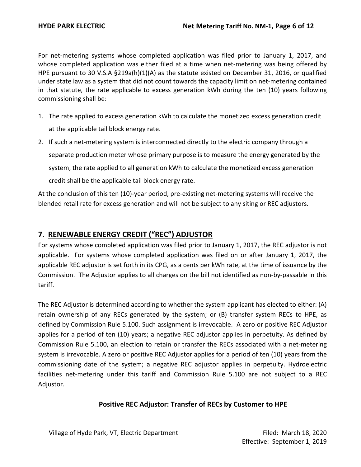For net-metering systems whose completed application was filed prior to January 1, 2017, and whose completed application was either filed at a time when net-metering was being offered by HPE pursuant to 30 V.S.A §219a(h)(1)(A) as the statute existed on December 31, 2016, or qualified under state law as a system that did not count towards the capacity limit on net-metering contained in that statute, the rate applicable to excess generation kWh during the ten (10) years following commissioning shall be:

- 1. The rate applied to excess generation kWh to calculate the monetized excess generation credit at the applicable tail block energy rate.
- 2. If such a net-metering system is interconnected directly to the electric company through a separate production meter whose primary purpose is to measure the energy generated by the system, the rate applied to all generation kWh to calculate the monetized excess generation credit shall be the applicable tail block energy rate.

At the conclusion of this ten (10)-year period, pre-existing net-metering systems will receive the blended retail rate for excess generation and will not be subject to any siting or REC adjustors.

## **7**. **RENEWABLE ENERGY CREDIT ("REC") ADJUSTOR**

For systems whose completed application was filed prior to January 1, 2017, the REC adjustor is not applicable. For systems whose completed application was filed on or after January 1, 2017, the applicable REC adjustor is set forth in its CPG, as a cents per kWh rate, at the time of issuance by the Commission. The Adjustor applies to all charges on the bill not identified as non-by-passable in this tariff.

The REC Adjustor is determined according to whether the system applicant has elected to either: (A) retain ownership of any RECs generated by the system; or (B) transfer system RECs to HPE, as defined by Commission Rule 5.100. Such assignment is irrevocable. A zero or positive REC Adjustor applies for a period of ten (10) years; a negative REC adjustor applies in perpetuity. As defined by Commission Rule 5.100, an election to retain or transfer the RECs associated with a net-metering system is irrevocable. A zero or positive REC Adjustor applies for a period of ten (10) years from the commissioning date of the system; a negative REC adjustor applies in perpetuity. Hydroelectric facilities net-metering under this tariff and Commission Rule 5.100 are not subject to a REC Adjustor.

### **Positive REC Adjustor: Transfer of RECs by Customer to HPE**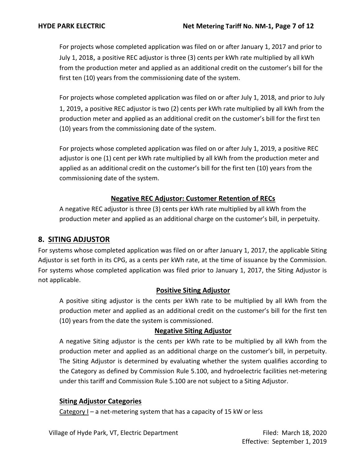For projects whose completed application was filed on or after January 1, 2017 and prior to July 1, 2018, a positive REC adjustor is three (3) cents per kWh rate multiplied by all kWh from the production meter and applied as an additional credit on the customer's bill for the first ten (10) years from the commissioning date of the system.

For projects whose completed application was filed on or after July 1, 2018, and prior to July 1, 2019, a positive REC adjustor is two (2) cents per kWh rate multiplied by all kWh from the production meter and applied as an additional credit on the customer's bill for the first ten (10) years from the commissioning date of the system.

For projects whose completed application was filed on or after July 1, 2019, a positive REC adjustor is one (1) cent per kWh rate multiplied by all kWh from the production meter and applied as an additional credit on the customer's bill for the first ten (10) years from the commissioning date of the system.

# **Negative REC Adjustor: Customer Retention of RECs**

A negative REC adjustor is three (3) cents per kWh rate multiplied by all kWh from the production meter and applied as an additional charge on the customer's bill, in perpetuity.

# **8. SITING ADJUSTOR**

For systems whose completed application was filed on or after January 1, 2017, the applicable Siting Adjustor is set forth in its CPG, as a cents per kWh rate, at the time of issuance by the Commission. For systems whose completed application was filed prior to January 1, 2017, the Siting Adjustor is not applicable.

### **Positive Siting Adjustor**

A positive siting adjustor is the cents per kWh rate to be multiplied by all kWh from the production meter and applied as an additional credit on the customer's bill for the first ten (10) years from the date the system is commissioned.

#### **Negative Siting Adjustor**

A negative Siting adjustor is the cents per kWh rate to be multiplied by all kWh from the production meter and applied as an additional charge on the customer's bill, in perpetuity. The Siting Adjustor is determined by evaluating whether the system qualifies according to the Category as defined by Commission Rule 5.100, and hydroelectric facilities net-metering under this tariff and Commission Rule 5.100 are not subject to a Siting Adjustor.

### **Siting Adjustor Categories**

Category I – a net-metering system that has a capacity of 15 kW or less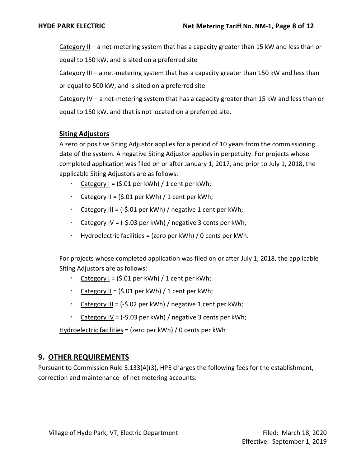Category II – a net-metering system that has a capacity greater than 15 kW and less than or equal to 150 kW, and is sited on a preferred site

Category III – a net-metering system that has a capacity greater than 150 kW and less than or equal to 500 kW, and is sited on a preferred site

Category IV – a net-metering system that has a capacity greater than 15 kW and less than or equal to 150 kW, and that is not located on a preferred site.

## **Siting Adjustors**

A zero or positive Siting Adjustor applies for a period of 10 years from the commissioning date of the system. A negative Siting Adjustor applies in perpetuity. For projects whose completed application was filed on or after January 1, 2017, and prior to July 1, 2018, the applicable Siting Adjustors are as follows:

- $Categorical$  = (\$.01 per kWh) / 1 cent per kWh;
- Category  $II = (5.01 \text{ per kWh}) / 1 \text{ cent per kWh}$ ;
- Category III =  $(-5.01$  per kWh $)$  / negative 1 cent per kWh;
- Category IV =  $(-\xi.03$  per kWh) / negative 3 cents per kWh;
- $\cdot$  Hydroelectric facilities = (zero per kWh) / 0 cents per kWh.

For projects whose completed application was filed on or after July 1, 2018, the applicable Siting Adjustors are as follows:

- Category  $I = (5.01 \text{ per kWh}) / 1 \text{ cent per kWh}$ ;
- Category  $II = (5.01 \text{ per kWh}) / 1 \text{ cent per kWh}$ ;
- Category III =  $(-\xi.02$  per kWh $)$  / negative 1 cent per kWh;
- Category IV = (-\$.03 per kWh) / negative 3 cents per kWh;

Hydroelectric facilities = (zero per kWh) / 0 cents per kWh

# **9. OTHER REQUIREMENTS**

Pursuant to Commission Rule 5.133(A)(3), HPE charges the following fees for the establishment, correction and maintenance of net metering accounts: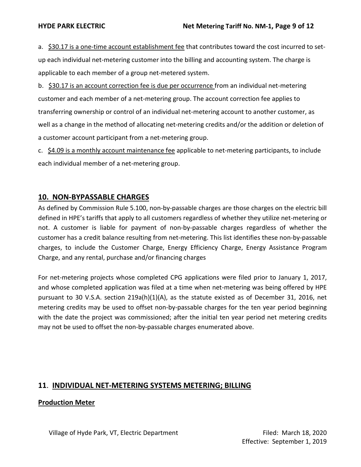a. \$30.17 is a one-time account establishment fee that contributes toward the cost incurred to setup each individual net-metering customer into the billing and accounting system. The charge is applicable to each member of a group net-metered system.

b. \$30.17 is an account correction fee is due per occurrence from an individual net-metering customer and each member of a net-metering group. The account correction fee applies to transferring ownership or control of an individual net-metering account to another customer, as well as a change in the method of allocating net-metering credits and/or the addition or deletion of a customer account participant from a net-metering group.

c. **\$4.09** is a monthly account maintenance fee applicable to net-metering participants, to include each individual member of a net-metering group.

# **10. NON-BYPASSABLE CHARGES**

As defined by Commission Rule 5.100, non-by-passable charges are those charges on the electric bill defined in HPE's tariffs that apply to all customers regardless of whether they utilize net-metering or not. A customer is liable for payment of non-by-passable charges regardless of whether the customer has a credit balance resulting from net-metering. This list identifies these non-by-passable charges, to include the Customer Charge, Energy Efficiency Charge, Energy Assistance Program Charge, and any rental, purchase and/or financing charges

For net-metering projects whose completed CPG applications were filed prior to January 1, 2017, and whose completed application was filed at a time when net-metering was being offered by HPE pursuant to 30 V.S.A. section 219a(h)(1)(A), as the statute existed as of December 31, 2016, net metering credits may be used to offset non-by-passable charges for the ten year period beginning with the date the project was commissioned; after the initial ten year period net metering credits may not be used to offset the non-by-passable charges enumerated above.

# **11**. **INDIVIDUAL NET-METERING SYSTEMS METERING; BILLING**

### **Production Meter**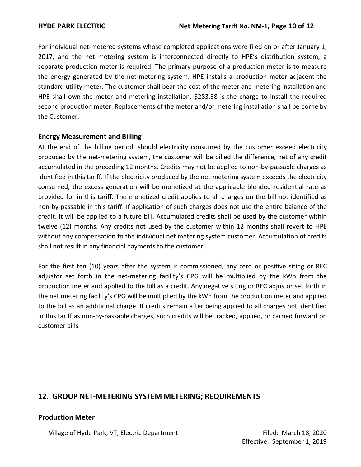For individual net-metered systems whose completed applications were filed on or after January 1, 2017, and the net metering system is interconnected directly to HPE's distribution system, a separate production meter is required. The primary purpose of a production meter is to measure the energy generated by the net-metering system. HPE installs a production meter adjacent the standard utility meter. The customer shall bear the cost of the meter and metering installation and HPE shall own the meter and metering installation. \$283.38 is the charge to install the required second production meter. Replacements of the meter and/or metering installation shall be borne by the Customer.

#### **Energy Measurement and Billing**

At the end of the billing period, should electricity consumed by the customer exceed electricity produced by the net-metering system, the customer will be billed the difference, net of any credit accumulated in the preceding 12 months. Credits may not be applied to non-by-passable charges as identified in this tariff. If the electricity produced by the net-metering system exceeds the electricity consumed, the excess generation will be monetized at the applicable blended residential rate as provided for in this tariff. The monetized credit applies to all charges on the bill not identified as non-by-passable in this tariff. If application of such charges does not use the entire balance of the credit, it will be applied to a future bill. Accumulated credits shall be used by the customer within twelve (12) months. Any credits not used by the customer within 12 months shall revert to HPE without any compensation to the individual net metering system customer. Accumulation of credits shall not result in any financial payments to the customer.

For the first ten (10) years after the system is commissioned, any zero or positive siting or REC adjustor set forth in the net-metering facility's CPG will be multiplied by the kWh from the production meter and applied to the bill as a credit. Any negative siting or REC adjustor set forth in the net metering facility's CPG will be multiplied by the kWh from the production meter and applied to the bill as an additional charge. If credits remain after being applied to all charges not identified in this tariff as non-by-passable charges, such credits will be tracked, applied, or carried forward on customer bills

# **12. GROUP NET-METERING SYSTEM METERING; REQUIREMENTS**

#### **Production Meter**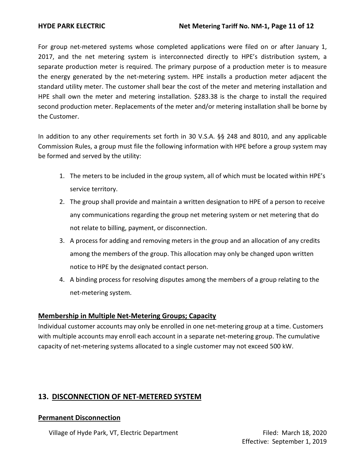For group net-metered systems whose completed applications were filed on or after January 1, 2017, and the net metering system is interconnected directly to HPE's distribution system, a separate production meter is required. The primary purpose of a production meter is to measure the energy generated by the net-metering system. HPE installs a production meter adjacent the standard utility meter. The customer shall bear the cost of the meter and metering installation and HPE shall own the meter and metering installation. \$283.38 is the charge to install the required second production meter. Replacements of the meter and/or metering installation shall be borne by the Customer.

In addition to any other requirements set forth in 30 V.S.A. §§ 248 and 8010, and any applicable Commission Rules, a group must file the following information with HPE before a group system may be formed and served by the utility:

- 1. The meters to be included in the group system, all of which must be located within HPE's service territory.
- 2. The group shall provide and maintain a written designation to HPE of a person to receive any communications regarding the group net metering system or net metering that do not relate to billing, payment, or disconnection.
- 3. A process for adding and removing meters in the group and an allocation of any credits among the members of the group. This allocation may only be changed upon written notice to HPE by the designated contact person.
- 4. A binding process for resolving disputes among the members of a group relating to the net-metering system.

### **Membership in Multiple Net-Metering Groups; Capacity**

Individual customer accounts may only be enrolled in one net-metering group at a time. Customers with multiple accounts may enroll each account in a separate net-metering group. The cumulative capacity of net-metering systems allocated to a single customer may not exceed 500 kW.

# **13. DISCONNECTION OF NET-METERED SYSTEM**

#### **Permanent Disconnection**